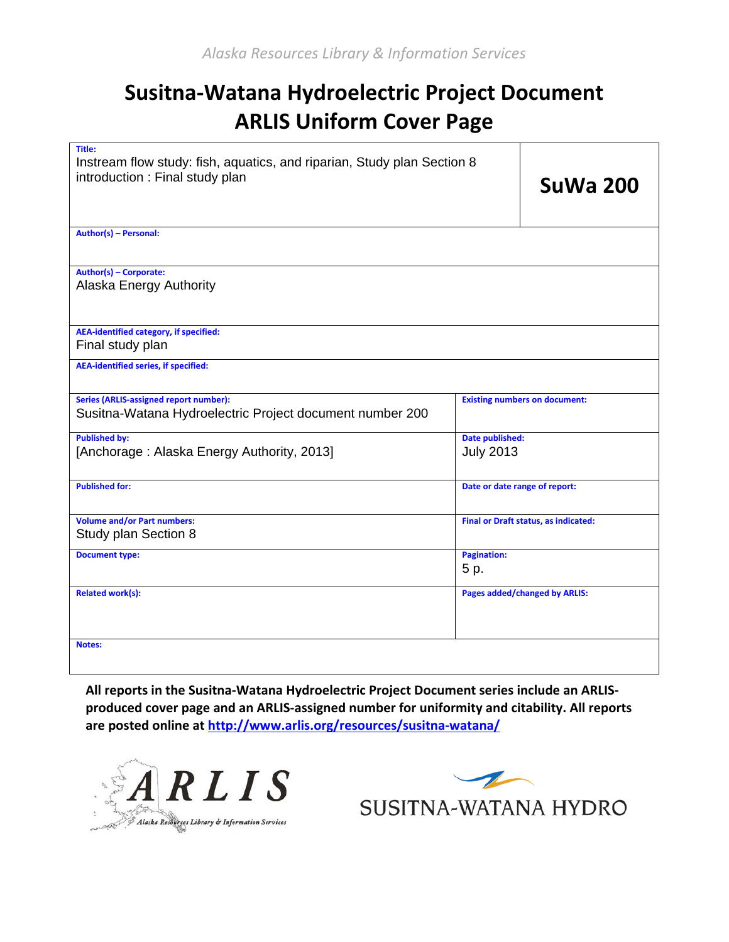## **Susitna-Watana Hydroelectric Project Document ARLIS Uniform Cover Page**

| Title:<br>Instream flow study: fish, aquatics, and riparian, Study plan Section 8<br>introduction : Final study plan |                                      | <b>SuWa 200</b> |
|----------------------------------------------------------------------------------------------------------------------|--------------------------------------|-----------------|
| Author(s) - Personal:                                                                                                |                                      |                 |
| Author(s) - Corporate:<br><b>Alaska Energy Authority</b>                                                             |                                      |                 |
| <b>AEA-identified category, if specified:</b><br>Final study plan                                                    |                                      |                 |
| <b>AEA-identified series, if specified:</b>                                                                          |                                      |                 |
| <b>Series (ARLIS-assigned report number):</b><br>Susitna-Watana Hydroelectric Project document number 200            | <b>Existing numbers on document:</b> |                 |
| <b>Published by:</b><br>[Anchorage: Alaska Energy Authority, 2013]                                                   | Date published:<br><b>July 2013</b>  |                 |
| <b>Published for:</b>                                                                                                | Date or date range of report:        |                 |
| <b>Volume and/or Part numbers:</b><br>Study plan Section 8                                                           | Final or Draft status, as indicated: |                 |
| <b>Document type:</b>                                                                                                | <b>Pagination:</b><br>5 p.           |                 |
| <b>Related work(s):</b>                                                                                              | <b>Pages added/changed by ARLIS:</b> |                 |
| <b>Notes:</b>                                                                                                        |                                      |                 |

**All reports in the Susitna-Watana Hydroelectric Project Document series include an ARLISproduced cover page and an ARLIS-assigned number for uniformity and citability. All reports are posted online a[t http://www.arlis.org/resources/susitna-watana/](http://www.arlis.org/resources/susitna-watana/)**



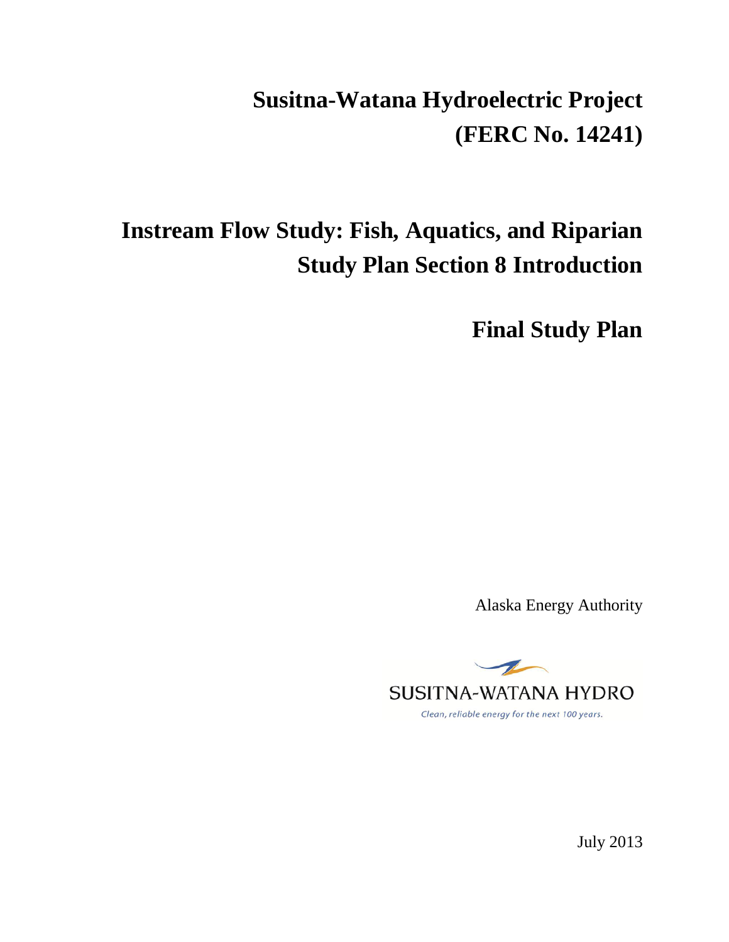# **Susitna-Watana Hydroelectric Project (FERC No. 14241)**

## **Instream Flow Study: Fish, Aquatics, and Riparian Study Plan Section 8 Introduction**

**Final Study Plan**

Alaska Energy Authority



July 2013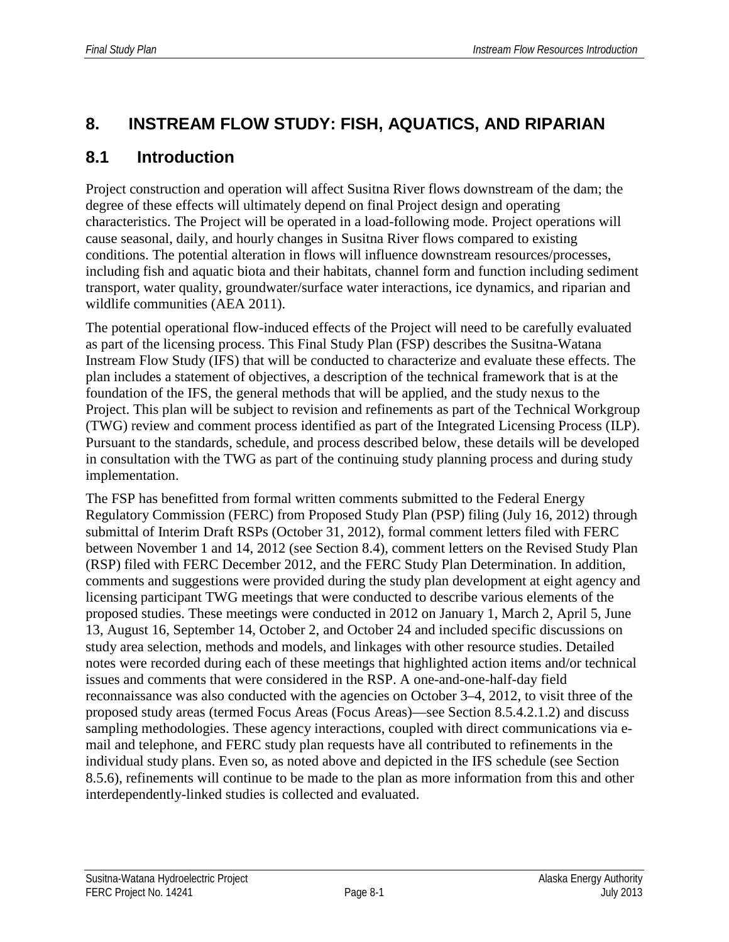## **8. INSTREAM FLOW STUDY: FISH, AQUATICS, AND RIPARIAN**

### **8.1 Introduction**

Project construction and operation will affect Susitna River flows downstream of the dam; the degree of these effects will ultimately depend on final Project design and operating characteristics. The Project will be operated in a load-following mode. Project operations will cause seasonal, daily, and hourly changes in Susitna River flows compared to existing conditions. The potential alteration in flows will influence downstream resources/processes, including fish and aquatic biota and their habitats, channel form and function including sediment transport, water quality, groundwater/surface water interactions, ice dynamics, and riparian and wildlife communities (AEA 2011).

The potential operational flow-induced effects of the Project will need to be carefully evaluated as part of the licensing process. This Final Study Plan (FSP) describes the Susitna-Watana Instream Flow Study (IFS) that will be conducted to characterize and evaluate these effects. The plan includes a statement of objectives, a description of the technical framework that is at the foundation of the IFS, the general methods that will be applied, and the study nexus to the Project. This plan will be subject to revision and refinements as part of the Technical Workgroup (TWG) review and comment process identified as part of the Integrated Licensing Process (ILP). Pursuant to the standards, schedule, and process described below, these details will be developed in consultation with the TWG as part of the continuing study planning process and during study implementation.

The FSP has benefitted from formal written comments submitted to the Federal Energy Regulatory Commission (FERC) from Proposed Study Plan (PSP) filing (July 16, 2012) through submittal of Interim Draft RSPs (October 31, 2012), formal comment letters filed with FERC between November 1 and 14, 2012 (see Section 8.4), comment letters on the Revised Study Plan (RSP) filed with FERC December 2012, and the FERC Study Plan Determination. In addition, comments and suggestions were provided during the study plan development at eight agency and licensing participant TWG meetings that were conducted to describe various elements of the proposed studies. These meetings were conducted in 2012 on January 1, March 2, April 5, June 13, August 16, September 14, October 2, and October 24 and included specific discussions on study area selection, methods and models, and linkages with other resource studies. Detailed notes were recorded during each of these meetings that highlighted action items and/or technical issues and comments that were considered in the RSP. A one-and-one-half-day field reconnaissance was also conducted with the agencies on October 3–4, 2012, to visit three of the proposed study areas (termed Focus Areas (Focus Areas)—see Section 8.5.4.2.1.2) and discuss sampling methodologies. These agency interactions, coupled with direct communications via email and telephone, and FERC study plan requests have all contributed to refinements in the individual study plans. Even so, as noted above and depicted in the IFS schedule (see Section 8.5.6), refinements will continue to be made to the plan as more information from this and other interdependently-linked studies is collected and evaluated.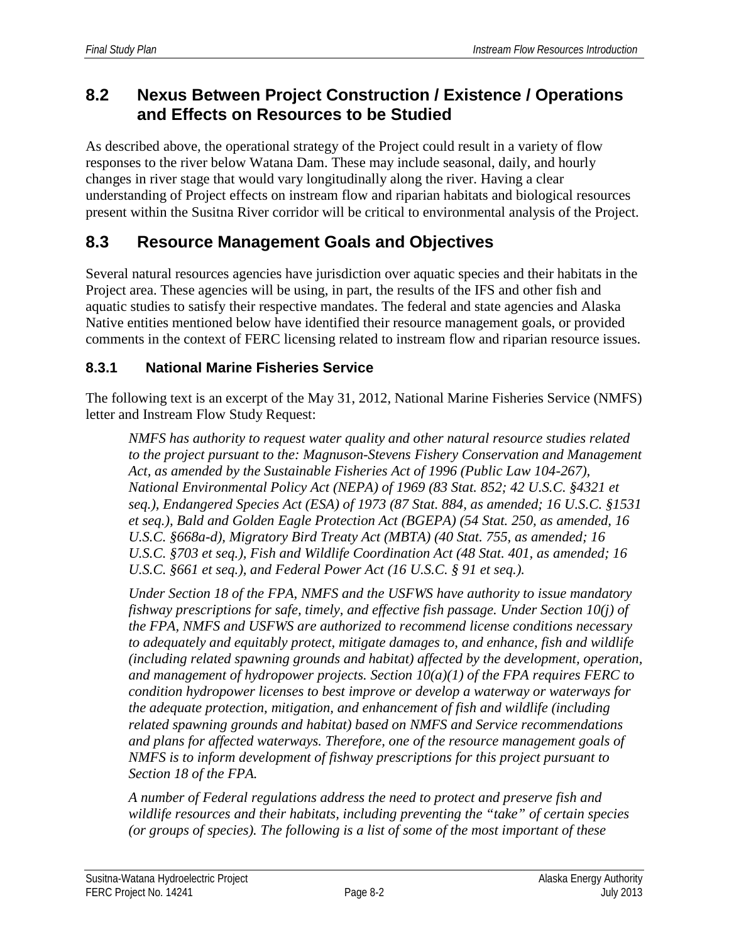## **8.2 Nexus Between Project Construction / Existence / Operations and Effects on Resources to be Studied**

As described above, the operational strategy of the Project could result in a variety of flow responses to the river below Watana Dam. These may include seasonal, daily, and hourly changes in river stage that would vary longitudinally along the river. Having a clear understanding of Project effects on instream flow and riparian habitats and biological resources present within the Susitna River corridor will be critical to environmental analysis of the Project.

## **8.3 Resource Management Goals and Objectives**

Several natural resources agencies have jurisdiction over aquatic species and their habitats in the Project area. These agencies will be using, in part, the results of the IFS and other fish and aquatic studies to satisfy their respective mandates. The federal and state agencies and Alaska Native entities mentioned below have identified their resource management goals, or provided comments in the context of FERC licensing related to instream flow and riparian resource issues.

#### **8.3.1 National Marine Fisheries Service**

The following text is an excerpt of the May 31, 2012, National Marine Fisheries Service (NMFS) letter and Instream Flow Study Request:

*NMFS has authority to request water quality and other natural resource studies related*  to the project pursuant to the: Magnuson-Stevens Fishery Conservation and Management *Act, as amended by the Sustainable Fisheries Act of 1996 (Public Law 104-267), National Environmental Policy Act (NEPA) of 1969 (83 Stat. 852; 42 U.S.C. §4321 et seq.), Endangered Species Act (ESA) of 1973 (87 Stat. 884, as amended; 16 U.S.C. §1531 et seq.), Bald and Golden Eagle Protection Act (BGEPA) (54 Stat. 250, as amended, 16 U.S.C. §668a-d), Migratory Bird Treaty Act (MBTA) (40 Stat. 755, as amended; 16 U.S.C. §703 et seq.), Fish and Wildlife Coordination Act (48 Stat. 401, as amended; 16 U.S.C. §661 et seq.), and Federal Power Act (16 U.S.C. § 91 et seq.).*

*Under Section 18 of the FPA, NMFS and the USFWS have authority to issue mandatory fishway prescriptions for safe, timely, and effective fish passage. Under Section 10(j) of the FPA, NMFS and USFWS are authorized to recommend license conditions necessary to adequately and equitably protect, mitigate damages to, and enhance, fish and wildlife (including related spawning grounds and habitat) affected by the development, operation, and management of hydropower projects. Section 10(a)(1) of the FPA requires FERC to condition hydropower licenses to best improve or develop a waterway or waterways for the adequate protection, mitigation, and enhancement of fish and wildlife (including related spawning grounds and habitat) based on NMFS and Service recommendations and plans for affected waterways. Therefore, one of the resource management goals of NMFS is to inform development of fishway prescriptions for this project pursuant to Section 18 of the FPA.*

*A number of Federal regulations address the need to protect and preserve fish and wildlife resources and their habitats, including preventing the "take" of certain species (or groups of species). The following is a list of some of the most important of these*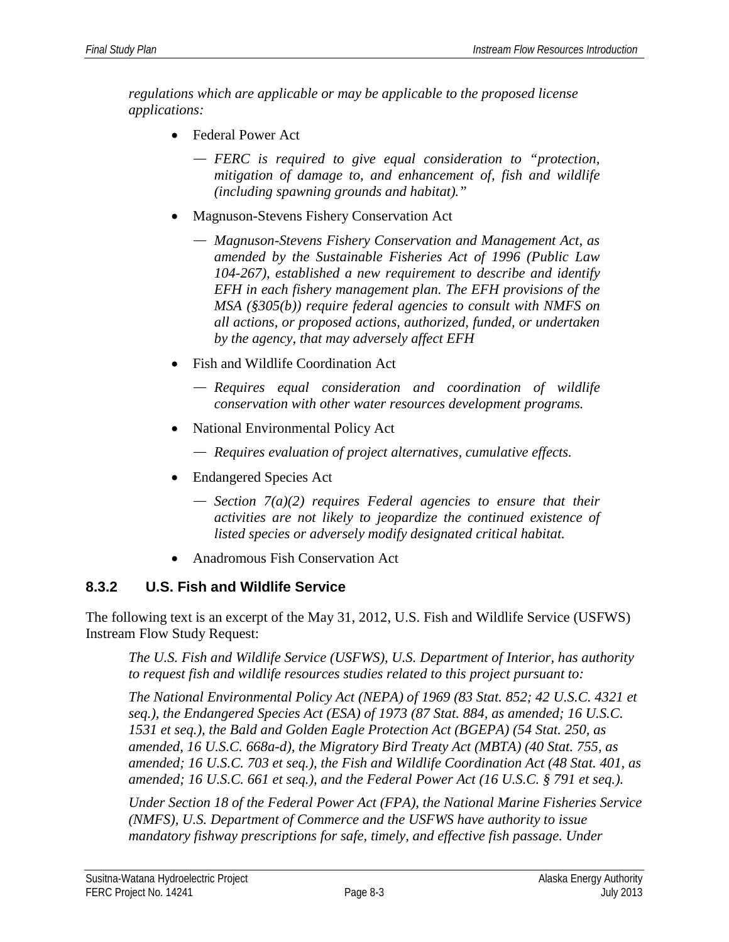*regulations which are applicable or may be applicable to the proposed license applications:*

- Federal Power Act
	- *FERC is required to give equal consideration to "protection, mitigation of damage to, and enhancement of, fish and wildlife (including spawning grounds and habitat)."*
- Magnuson-Stevens Fishery Conservation Act
	- *Magnuson-Stevens Fishery Conservation and Management Act, as amended by the Sustainable Fisheries Act of 1996 (Public Law 104-267), established a new requirement to describe and identify EFH in each fishery management plan. The EFH provisions of the MSA (§305(b)) require federal agencies to consult with NMFS on all actions, or proposed actions, authorized, funded, or undertaken by the agency, that may adversely affect EFH*
- Fish and Wildlife Coordination Act
	- *Requires equal consideration and coordination of wildlife conservation with other water resources development programs.*
- National Environmental Policy Act
	- *Requires evaluation of project alternatives, cumulative effects.*
- Endangered Species Act
	- *Section 7(a)(2) requires Federal agencies to ensure that their activities are not likely to jeopardize the continued existence of listed species or adversely modify designated critical habitat.*
- Anadromous Fish Conservation Act

#### **8.3.2 U.S. Fish and Wildlife Service**

The following text is an excerpt of the May 31, 2012, U.S. Fish and Wildlife Service (USFWS) Instream Flow Study Request:

*The U.S. Fish and Wildlife Service (USFWS), U.S. Department of Interior, has authority to request fish and wildlife resources studies related to this project pursuant to:*

*The National Environmental Policy Act (NEPA) of 1969 (83 Stat. 852; 42 U.S.C. 4321 et seq.), the Endangered Species Act (ESA) of 1973 (87 Stat. 884, as amended; 16 U.S.C. 1531 et seq.), the Bald and Golden Eagle Protection Act (BGEPA) (54 Stat. 250, as amended, 16 U.S.C. 668a-d), the Migratory Bird Treaty Act (MBTA) (40 Stat. 755, as amended; 16 U.S.C. 703 et seq.), the Fish and Wildlife Coordination Act (48 Stat. 401, as amended; 16 U.S.C. 661 et seq.), and the Federal Power Act (16 U.S.C. § 791 et seq.).*

*Under Section 18 of the Federal Power Act (FPA), the National Marine Fisheries Service (NMFS), U.S. Department of Commerce and the USFWS have authority to issue mandatory fishway prescriptions for safe, timely, and effective fish passage. Under*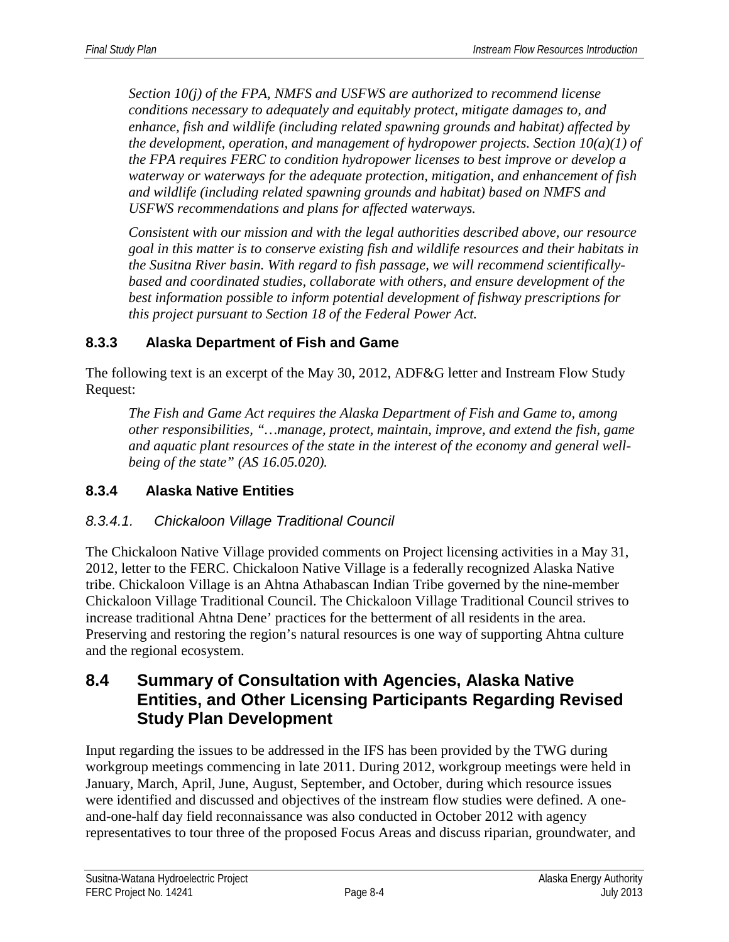*Section 10(j) of the FPA, NMFS and USFWS are authorized to recommend license conditions necessary to adequately and equitably protect, mitigate damages to, and enhance, fish and wildlife (including related spawning grounds and habitat) affected by the development, operation, and management of hydropower projects. Section 10(a)(1) of the FPA requires FERC to condition hydropower licenses to best improve or develop a waterway or waterways for the adequate protection, mitigation, and enhancement of fish and wildlife (including related spawning grounds and habitat) based on NMFS and USFWS recommendations and plans for affected waterways.*

*Consistent with our mission and with the legal authorities described above, our resource goal in this matter is to conserve existing fish and wildlife resources and their habitats in the Susitna River basin. With regard to fish passage, we will recommend scientificallybased and coordinated studies, collaborate with others, and ensure development of the best information possible to inform potential development of fishway prescriptions for this project pursuant to Section 18 of the Federal Power Act.*

#### **8.3.3 Alaska Department of Fish and Game**

The following text is an excerpt of the May 30, 2012, ADF&G letter and Instream Flow Study Request:

*The Fish and Game Act requires the Alaska Department of Fish and Game to, among other responsibilities, "…manage, protect, maintain, improve, and extend the fish, game and aquatic plant resources of the state in the interest of the economy and general wellbeing of the state" (AS 16.05.020).*

#### **8.3.4 Alaska Native Entities**

#### *8.3.4.1. Chickaloon Village Traditional Council*

The Chickaloon Native Village provided comments on Project licensing activities in a May 31, 2012, letter to the FERC. Chickaloon Native Village is a federally recognized Alaska Native tribe. Chickaloon Village is an Ahtna Athabascan Indian Tribe governed by the nine-member Chickaloon Village Traditional Council. The Chickaloon Village Traditional Council strives to increase traditional Ahtna Dene' practices for the betterment of all residents in the area. Preserving and restoring the region's natural resources is one way of supporting Ahtna culture and the regional ecosystem.

### **8.4 Summary of Consultation with Agencies, Alaska Native Entities, and Other Licensing Participants Regarding Revised Study Plan Development**

Input regarding the issues to be addressed in the IFS has been provided by the TWG during workgroup meetings commencing in late 2011. During 2012, workgroup meetings were held in January, March, April, June, August, September, and October, during which resource issues were identified and discussed and objectives of the instream flow studies were defined. A oneand-one-half day field reconnaissance was also conducted in October 2012 with agency representatives to tour three of the proposed Focus Areas and discuss riparian, groundwater, and